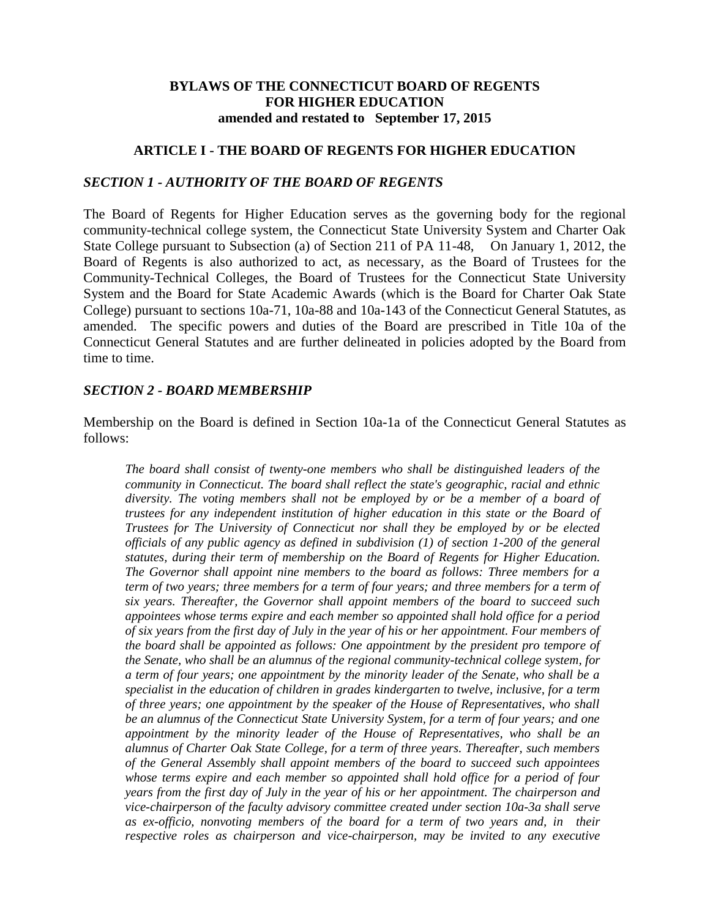#### **BYLAWS OF THE CONNECTICUT BOARD OF REGENTS FOR HIGHER EDUCATION amended and restated to September 17, 2015**

#### **ARTICLE I - THE BOARD OF REGENTS FOR HIGHER EDUCATION**

#### *SECTION 1 - AUTHORITY OF THE BOARD OF REGENTS*

The Board of Regents for Higher Education serves as the governing body for the regional community-technical college system, the Connecticut State University System and Charter Oak State College pursuant to Subsection (a) of Section 211 of PA 11-48, On January 1, 2012, the Board of Regents is also authorized to act, as necessary, as the Board of Trustees for the Community-Technical Colleges, the Board of Trustees for the Connecticut State University System and the Board for State Academic Awards (which is the Board for Charter Oak State College) pursuant to sections 10a-71, 10a-88 and 10a-143 of the Connecticut General Statutes, as amended. The specific powers and duties of the Board are prescribed in Title 10a of the Connecticut General Statutes and are further delineated in policies adopted by the Board from time to time.

#### *SECTION 2 - BOARD MEMBERSHIP*

Membership on the Board is defined in Section 10a-1a of the Connecticut General Statutes as follows:

*The board shall consist of twenty-one members who shall be distinguished leaders of the community in Connecticut. The board shall reflect the state's geographic, racial and ethnic diversity. The voting members shall not be employed by or be a member of a board of trustees for any independent institution of higher education in this state or the Board of Trustees for The University of Connecticut nor shall they be employed by or be elected officials of any public agency as defined in subdivision (1) of section 1-200 of the general statutes, during their term of membership on the Board of Regents for Higher Education. The Governor shall appoint nine members to the board as follows: Three members for a term of two years; three members for a term of four years; and three members for a term of six years. Thereafter, the Governor shall appoint members of the board to succeed such appointees whose terms expire and each member so appointed shall hold office for a period of six years from the first day of July in the year of his or her appointment. Four members of the board shall be appointed as follows: One appointment by the president pro tempore of the Senate, who shall be an alumnus of the regional community-technical college system, for a term of four years; one appointment by the minority leader of the Senate, who shall be a specialist in the education of children in grades kindergarten to twelve, inclusive, for a term of three years; one appointment by the speaker of the House of Representatives, who shall be an alumnus of the Connecticut State University System, for a term of four years; and one appointment by the minority leader of the House of Representatives, who shall be an alumnus of Charter Oak State College, for a term of three years. Thereafter, such members of the General Assembly shall appoint members of the board to succeed such appointees whose terms expire and each member so appointed shall hold office for a period of four years from the first day of July in the year of his or her appointment. The chairperson and vice-chairperson of the faculty advisory committee created under section 10a-3a shall serve as ex-officio, nonvoting members of the board for a term of two years and, in their respective roles as chairperson and vice-chairperson, may be invited to any executive*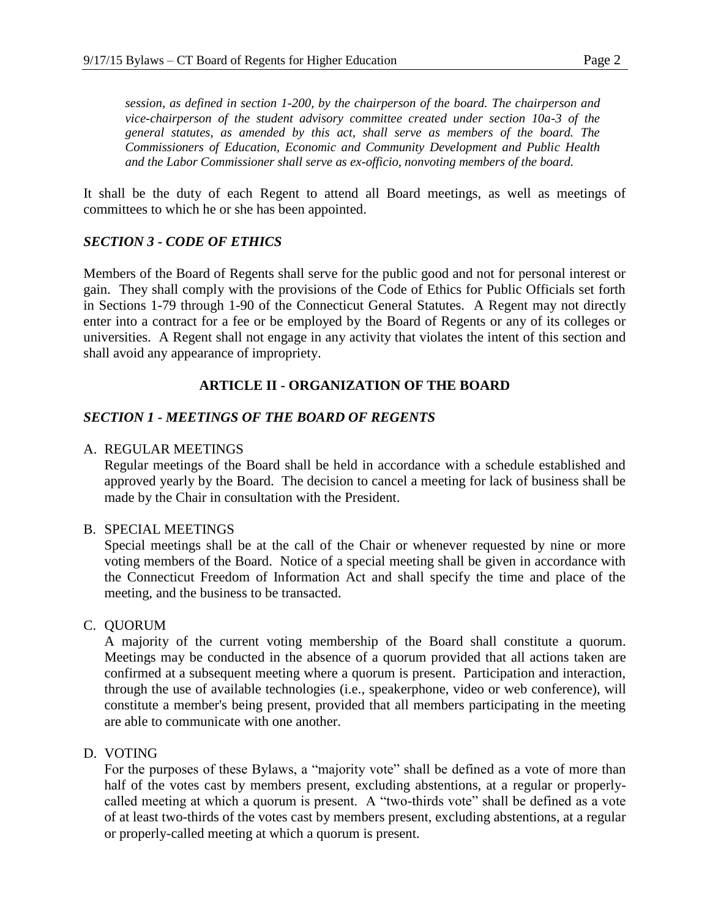*session, as defined in section 1-200, by the chairperson of the board. The chairperson and vice-chairperson of the student advisory committee created under section 10a-3 of the general statutes, as amended by this act, shall serve as members of the board. The Commissioners of Education, Economic and Community Development and Public Health and the Labor Commissioner shall serve as ex-officio, nonvoting members of the board.*

It shall be the duty of each Regent to attend all Board meetings, as well as meetings of committees to which he or she has been appointed.

## *SECTION 3 - CODE OF ETHICS*

Members of the Board of Regents shall serve for the public good and not for personal interest or gain. They shall comply with the provisions of the Code of Ethics for Public Officials set forth in Sections 1-79 through 1-90 of the Connecticut General Statutes. A Regent may not directly enter into a contract for a fee or be employed by the Board of Regents or any of its colleges or universities. A Regent shall not engage in any activity that violates the intent of this section and shall avoid any appearance of impropriety.

# **ARTICLE II - ORGANIZATION OF THE BOARD**

## *SECTION 1 - MEETINGS OF THE BOARD OF REGENTS*

#### A. REGULAR MEETINGS

Regular meetings of the Board shall be held in accordance with a schedule established and approved yearly by the Board. The decision to cancel a meeting for lack of business shall be made by the Chair in consultation with the President.

#### B. SPECIAL MEETINGS

Special meetings shall be at the call of the Chair or whenever requested by nine or more voting members of the Board. Notice of a special meeting shall be given in accordance with the Connecticut Freedom of Information Act and shall specify the time and place of the meeting, and the business to be transacted.

#### C. QUORUM

A majority of the current voting membership of the Board shall constitute a quorum. Meetings may be conducted in the absence of a quorum provided that all actions taken are confirmed at a subsequent meeting where a quorum is present. Participation and interaction, through the use of available technologies (i.e., speakerphone, video or web conference), will constitute a member's being present, provided that all members participating in the meeting are able to communicate with one another.

#### D. VOTING

For the purposes of these Bylaws, a "majority vote" shall be defined as a vote of more than half of the votes cast by members present, excluding abstentions, at a regular or properlycalled meeting at which a quorum is present. A "two-thirds vote" shall be defined as a vote of at least two-thirds of the votes cast by members present, excluding abstentions, at a regular or properly-called meeting at which a quorum is present.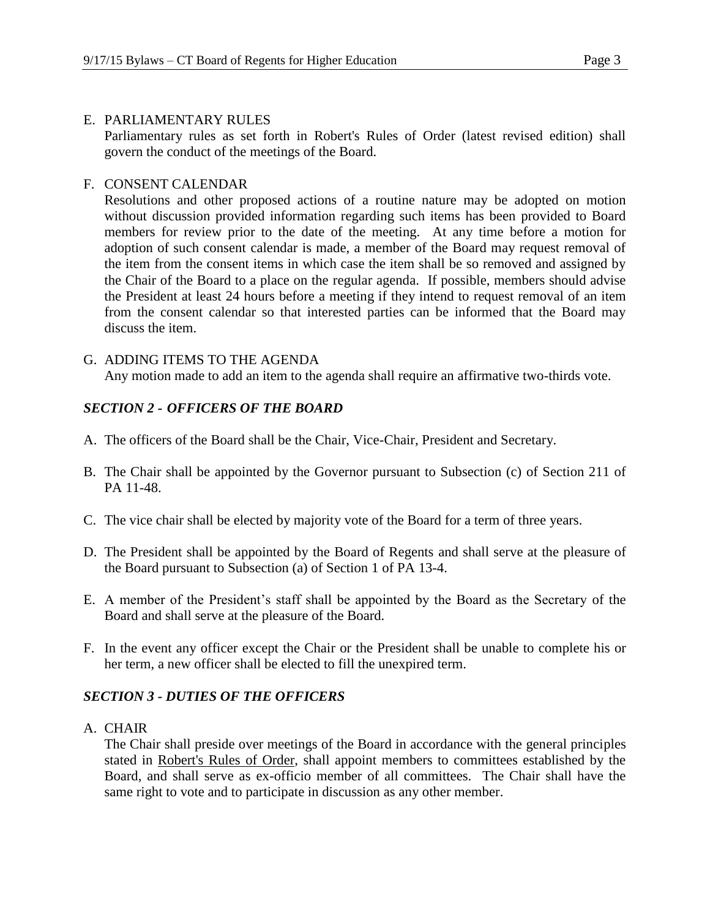#### E. PARLIAMENTARY RULES

Parliamentary rules as set forth in Robert's Rules of Order (latest revised edition) shall govern the conduct of the meetings of the Board.

### F. CONSENT CALENDAR

Resolutions and other proposed actions of a routine nature may be adopted on motion without discussion provided information regarding such items has been provided to Board members for review prior to the date of the meeting. At any time before a motion for adoption of such consent calendar is made, a member of the Board may request removal of the item from the consent items in which case the item shall be so removed and assigned by the Chair of the Board to a place on the regular agenda. If possible, members should advise the President at least 24 hours before a meeting if they intend to request removal of an item from the consent calendar so that interested parties can be informed that the Board may discuss the item.

## G. ADDING ITEMS TO THE AGENDA

Any motion made to add an item to the agenda shall require an affirmative two-thirds vote.

## *SECTION 2 - OFFICERS OF THE BOARD*

- A. The officers of the Board shall be the Chair, Vice-Chair, President and Secretary.
- B. The Chair shall be appointed by the Governor pursuant to Subsection (c) of Section 211 of PA 11-48.
- C. The vice chair shall be elected by majority vote of the Board for a term of three years.
- D. The President shall be appointed by the Board of Regents and shall serve at the pleasure of the Board pursuant to Subsection (a) of Section 1 of PA 13-4.
- E. A member of the President's staff shall be appointed by the Board as the Secretary of the Board and shall serve at the pleasure of the Board.
- F. In the event any officer except the Chair or the President shall be unable to complete his or her term, a new officer shall be elected to fill the unexpired term.

## *SECTION 3 - DUTIES OF THE OFFICERS*

A. CHAIR

The Chair shall preside over meetings of the Board in accordance with the general principles stated in Robert's Rules of Order, shall appoint members to committees established by the Board, and shall serve as ex-officio member of all committees. The Chair shall have the same right to vote and to participate in discussion as any other member.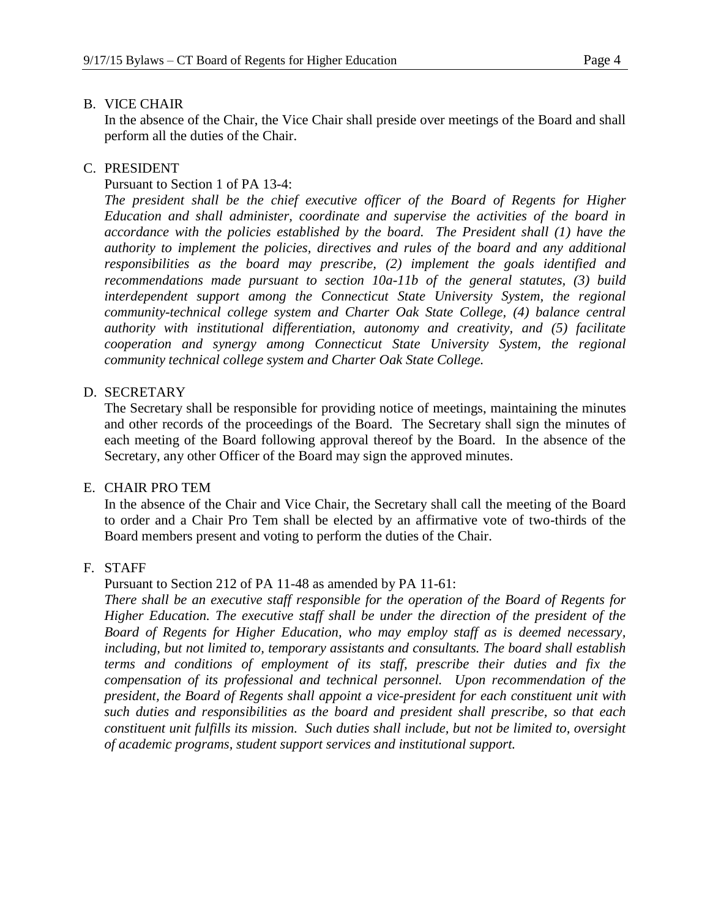#### B. VICE CHAIR

In the absence of the Chair, the Vice Chair shall preside over meetings of the Board and shall perform all the duties of the Chair.

## C. PRESIDENT

#### Pursuant to Section 1 of PA 13-4:

*The president shall be the chief executive officer of the Board of Regents for Higher Education and shall administer, coordinate and supervise the activities of the board in accordance with the policies established by the board. The President shall (1) have the authority to implement the policies, directives and rules of the board and any additional responsibilities as the board may prescribe, (2) implement the goals identified and recommendations made pursuant to section 10a-11b of the general statutes, (3) build interdependent support among the Connecticut State University System, the regional community-technical college system and Charter Oak State College, (4) balance central authority with institutional differentiation, autonomy and creativity, and (5) facilitate cooperation and synergy among Connecticut State University System, the regional community technical college system and Charter Oak State College.* 

#### D. SECRETARY

The Secretary shall be responsible for providing notice of meetings, maintaining the minutes and other records of the proceedings of the Board. The Secretary shall sign the minutes of each meeting of the Board following approval thereof by the Board. In the absence of the Secretary, any other Officer of the Board may sign the approved minutes.

#### E. CHAIR PRO TEM

In the absence of the Chair and Vice Chair, the Secretary shall call the meeting of the Board to order and a Chair Pro Tem shall be elected by an affirmative vote of two-thirds of the Board members present and voting to perform the duties of the Chair.

## F. STAFF

#### Pursuant to Section 212 of PA 11-48 as amended by PA 11-61:

*There shall be an executive staff responsible for the operation of the Board of Regents for Higher Education. The executive staff shall be under the direction of the president of the Board of Regents for Higher Education, who may employ staff as is deemed necessary, including, but not limited to, temporary assistants and consultants. The board shall establish terms and conditions of employment of its staff, prescribe their duties and fix the compensation of its professional and technical personnel. Upon recommendation of the president, the Board of Regents shall appoint a vice-president for each constituent unit with such duties and responsibilities as the board and president shall prescribe, so that each constituent unit fulfills its mission. Such duties shall include, but not be limited to, oversight of academic programs, student support services and institutional support.*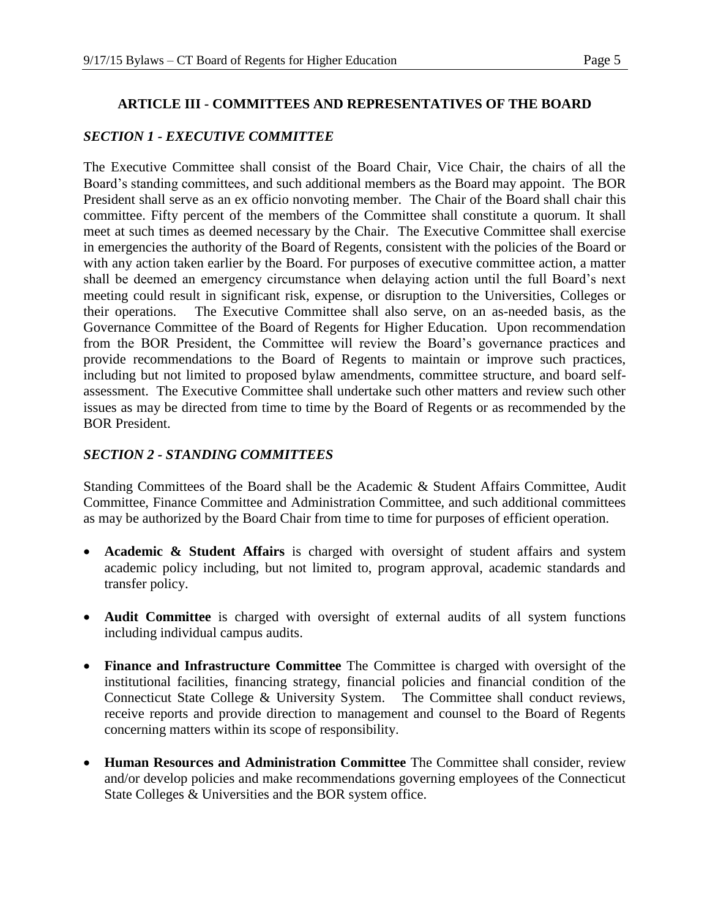#### **ARTICLE III - COMMITTEES AND REPRESENTATIVES OF THE BOARD**

#### *SECTION 1 - EXECUTIVE COMMITTEE*

The Executive Committee shall consist of the Board Chair, Vice Chair, the chairs of all the Board's standing committees, and such additional members as the Board may appoint. The BOR President shall serve as an ex officio nonvoting member. The Chair of the Board shall chair this committee. Fifty percent of the members of the Committee shall constitute a quorum. It shall meet at such times as deemed necessary by the Chair. The Executive Committee shall exercise in emergencies the authority of the Board of Regents, consistent with the policies of the Board or with any action taken earlier by the Board. For purposes of executive committee action, a matter shall be deemed an emergency circumstance when delaying action until the full Board's next meeting could result in significant risk, expense, or disruption to the Universities, Colleges or their operations. The Executive Committee shall also serve, on an as-needed basis, as the Governance Committee of the Board of Regents for Higher Education. Upon recommendation from the BOR President, the Committee will review the Board's governance practices and provide recommendations to the Board of Regents to maintain or improve such practices, including but not limited to proposed bylaw amendments, committee structure, and board selfassessment. The Executive Committee shall undertake such other matters and review such other issues as may be directed from time to time by the Board of Regents or as recommended by the BOR President.

## *SECTION 2 - STANDING COMMITTEES*

Standing Committees of the Board shall be the Academic & Student Affairs Committee, Audit Committee, Finance Committee and Administration Committee, and such additional committees as may be authorized by the Board Chair from time to time for purposes of efficient operation.

- **Academic & Student Affairs** is charged with oversight of student affairs and system academic policy including, but not limited to, program approval, academic standards and transfer policy.
- **Audit Committee** is charged with oversight of external audits of all system functions including individual campus audits.
- **Finance and Infrastructure Committee** The Committee is charged with oversight of the institutional facilities, financing strategy, financial policies and financial condition of the Connecticut State College & University System. The Committee shall conduct reviews, receive reports and provide direction to management and counsel to the Board of Regents concerning matters within its scope of responsibility.
- **Human Resources and Administration Committee** The Committee shall consider, review and/or develop policies and make recommendations governing employees of the Connecticut State Colleges & Universities and the BOR system office.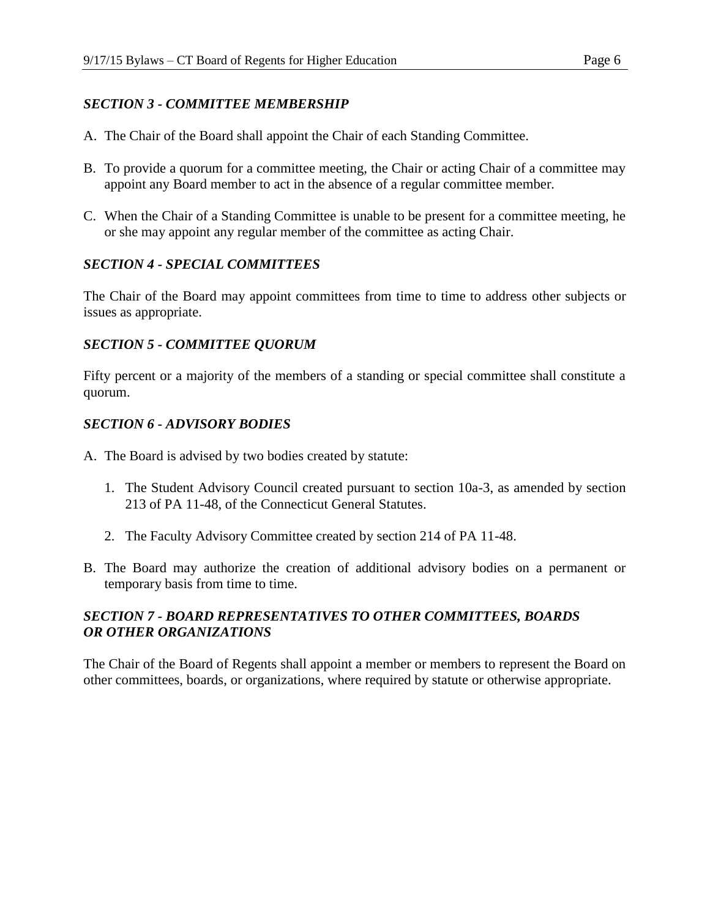# *SECTION 3 - COMMITTEE MEMBERSHIP*

- A. The Chair of the Board shall appoint the Chair of each Standing Committee.
- B. To provide a quorum for a committee meeting, the Chair or acting Chair of a committee may appoint any Board member to act in the absence of a regular committee member.
- C. When the Chair of a Standing Committee is unable to be present for a committee meeting, he or she may appoint any regular member of the committee as acting Chair.

# *SECTION 4 - SPECIAL COMMITTEES*

The Chair of the Board may appoint committees from time to time to address other subjects or issues as appropriate.

## *SECTION 5 - COMMITTEE QUORUM*

Fifty percent or a majority of the members of a standing or special committee shall constitute a quorum.

## *SECTION 6 - ADVISORY BODIES*

- A. The Board is advised by two bodies created by statute:
	- 1. The Student Advisory Council created pursuant to section 10a-3, as amended by section 213 of PA 11-48, of the Connecticut General Statutes.
	- 2. The Faculty Advisory Committee created by section 214 of PA 11-48.
- B. The Board may authorize the creation of additional advisory bodies on a permanent or temporary basis from time to time.

# *SECTION 7 - BOARD REPRESENTATIVES TO OTHER COMMITTEES, BOARDS OR OTHER ORGANIZATIONS*

The Chair of the Board of Regents shall appoint a member or members to represent the Board on other committees, boards, or organizations, where required by statute or otherwise appropriate.